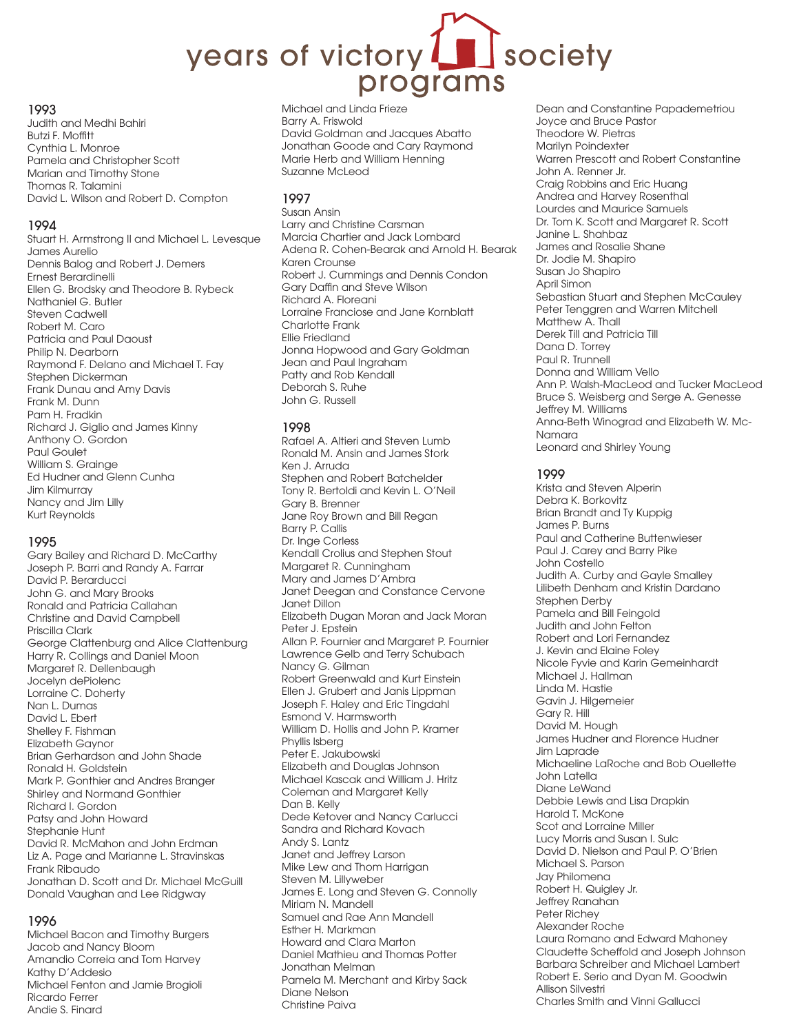# society years of victory programs

#### 1993

Judith and Medhi Bahiri Butzi F. Moffitt Cynthia L. Monroe Pamela and Christopher Scott Marian and Timothy Stone Thomas R. Talamini David L. Wilson and Robert D. Compton

#### 1994

Stuart H. Armstrong II and Michael L. Levesque James Aurelio Dennis Balog and Robert J. Demers Ernest Berardinelli Ellen G. Brodsky and Theodore B. Rybeck Nathaniel G. Butler Steven Cadwell Robert M. Caro Patricia and Paul Daoust Philip N. Dearborn Raymond F. Delano and Michael T. Fay Stephen Dickerman Frank Dunau and Amy Davis Frank M. Dunn Pam H. Fradkin Richard J. Giglio and James Kinny Anthony O. Gordon Paul Goulet William S. Grainge Ed Hudner and Glenn Cunha Jim Kilmurray Nancy and Jim Lilly Kurt Reynolds

#### 1995

Gary Bailey and Richard D. McCarthy Joseph P. Barri and Randy A. Farrar David P. Berarducci John G. and Mary Brooks Ronald and Patricia Callahan Christine and David Campbell Priscilla Clark George Clattenburg and Alice Clattenburg Harry R. Collings and Daniel Moon Margaret R. Dellenbaugh Jocelyn dePiolenc Lorraine C. Doherty Nan L. Dumas David L. Ebert Shelley F. Fishman Elizabeth Gaynor Brian Gerhardson and John Shade Ronald H. Goldstein Mark P. Gonthier and Andres Branger Shirley and Normand Gonthier Richard I. Gordon Patsy and John Howard Stephanie Hunt David R. McMahon and John Erdman Liz A. Page and Marianne L. Stravinskas Frank Ribaudo Jonathan D. Scott and Dr. Michael McGuill Donald Vaughan and Lee Ridgway

#### 1996

Michael Bacon and Timothy Burgers Jacob and Nancy Bloom Amandio Correia and Tom Harvey Kathy D'Addesio Michael Fenton and Jamie Brogioli Ricardo Ferrer Andie S. Finard

Michael and Linda Frieze Barry A. Friswold David Goldman and Jacques Abatto Jonathan Goode and Cary Raymond Marie Herb and William Henning Suzanne McLeod

#### 1997

Susan Ansin Larry and Christine Carsman Marcia Chartier and Jack Lombard Adena R. Cohen-Bearak and Arnold H. Bearak Karen Crounse Robert J. Cummings and Dennis Condon Gary Daffin and Steve Wilson Richard A. Floreani Lorraine Franciose and Jane Kornblatt Charlotte Frank Ellie Friedland Jonna Hopwood and Gary Goldman Jean and Paul Ingraham Patty and Rob Kendall Deborah S. Ruhe John G. Russell

#### 1998

Rafael A. Altieri and Steven Lumb Ronald M. Ansin and James Stork Ken J. Arruda Stephen and Robert Batchelder Tony R. Bertoldi and Kevin L. O'Neil Gary B. Brenner Jane Roy Brown and Bill Regan Barry P. Callis Dr. Inge Corless Kendall Crolius and Stephen Stout Margaret R. Cunningham Mary and James D'Ambra Janet Deegan and Constance Cervone Janet Dillon Elizabeth Dugan Moran and Jack Moran Peter J. Epstein Allan P. Fournier and Margaret P. Fournier Lawrence Gelb and Terry Schubach Nancy G. Gilman Robert Greenwald and Kurt Einstein Ellen J. Grubert and Janis Lippman Joseph F. Haley and Eric Tingdahl Esmond V. Harmsworth William D. Hollis and John P. Kramer Phyllis Isberg Peter E. Jakubowski Elizabeth and Douglas Johnson Michael Kascak and William J. Hritz Coleman and Margaret Kelly Dan B. Kelly Dede Ketover and Nancy Carlucci Sandra and Richard Kovach Andy S. Lantz Janet and Jeffrey Larson Mike Lew and Thom Harrigan Steven M. Lillyweber James E. Long and Steven G. Connolly Miriam N. Mandell Samuel and Rae Ann Mandell Esther H. Markman Howard and Clara Marton Daniel Mathieu and Thomas Potter Jonathan Melman Pamela M. Merchant and Kirby Sack Diane Nelson Christine Paiva

Dean and Constantine Papademetriou Joyce and Bruce Pastor Theodore W. Pietras Marilyn Poindexter Warren Prescott and Robert Constantine John A. Renner Jr. Craig Robbins and Eric Huang Andrea and Harvey Rosenthal Lourdes and Maurice Samuels Dr. Tom K. Scott and Margaret R. Scott Janine L. Shahbaz James and Rosalie Shane Dr. Jodie M. Shapiro Susan Jo Shapiro April Simon Sebastian Stuart and Stephen McCauley Peter Tenggren and Warren Mitchell Matthew A. Thall Derek Till and Patricia Till Dana D. Torrey Paul R. Trunnell Donna and William Vello Ann P. Walsh-MacLeod and Tucker MacLeod Bruce S. Weisberg and Serge A. Genesse Jeffrey M. Williams Anna-Beth Winograd and Elizabeth W. Mc-Namara Leonard and Shirley Young

#### 1999

Krista and Steven Alperin Debra K. Borkovitz Brian Brandt and Ty Kuppig James P. Burns Paul and Catherine Buttenwieser Paul J. Carey and Barry Pike John Costello Judith A. Curby and Gayle Smalley Lilibeth Denham and Kristin Dardano Stephen Derby Pamela and Bill Feingold Judith and John Felton Robert and Lori Fernandez J. Kevin and Elaine Foley Nicole Fyvie and Karin Gemeinhardt Michael J. Hallman Linda M. Hastie Gavin J. Hilgemeier Gary R. Hill David M. Hough James Hudner and Florence Hudner Jim Laprade Michaeline LaRoche and Bob Ouellette John Latella Diane LeWand Debbie Lewis and Lisa Drapkin Harold T. McKone Scot and Lorraine Miller Lucy Morris and Susan I. Sulc David D. Nielson and Paul P. O'Brien Michael S. Parson Jay Philomena Robert H. Quigley Jr. Jeffrey Ranahan Peter Richey Alexander Roche Laura Romano and Edward Mahoney Claudette Scheffold and Joseph Johnson Barbara Schreiber and Michael Lambert Robert E. Serio and Dyan M. Goodwin Allison Silvestri Charles Smith and Vinni Gallucci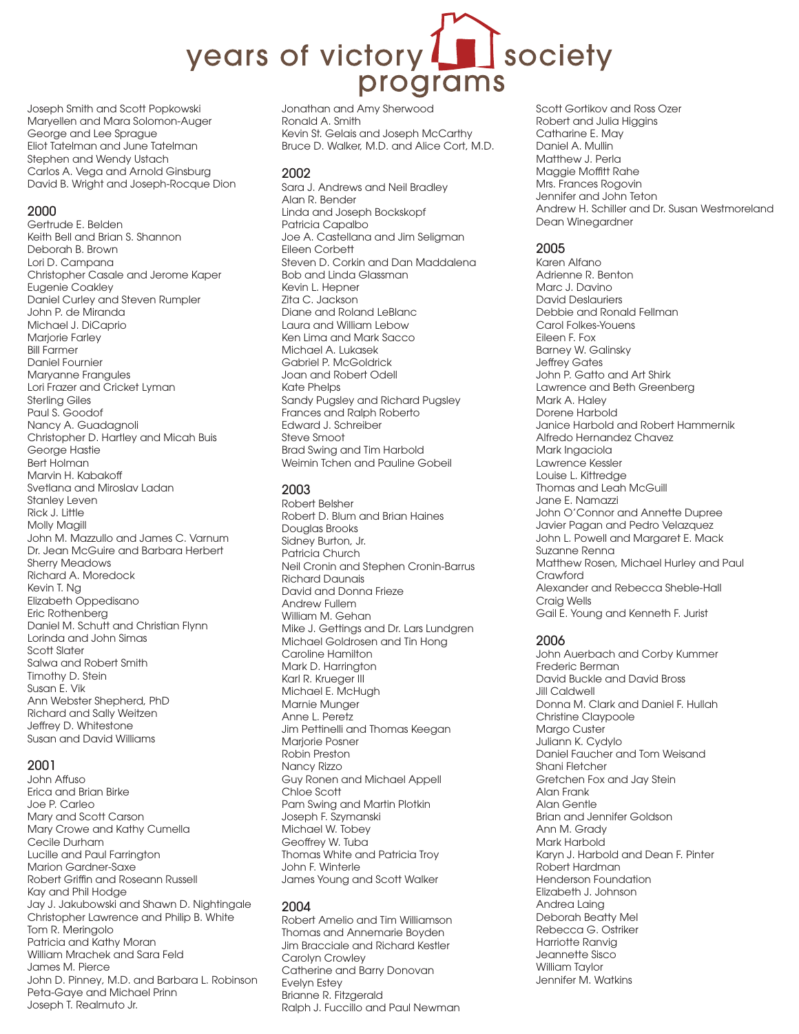# society years of victory programs

Joseph Smith and Scott Popkowski Maryellen and Mara Solomon-Auger George and Lee Sprague Eliot Tatelman and June Tatelman Stephen and Wendy Ustach Carlos A. Vega and Arnold Ginsburg David B. Wright and Joseph-Rocque Dion

#### 2000

Gertrude E. Belden Keith Bell and Brian S. Shannon Deborah B. Brown Lori D. Campana Christopher Casale and Jerome Kaper Eugenie Coakley Daniel Curley and Steven Rumpler John P. de Miranda Michael J. DiCaprio Marjorie Farley Bill Farmer Daniel Fournier Maryanne Frangules Lori Frazer and Cricket Lyman Sterling Giles Paul S. Goodof Nancy A. Guadagnoli Christopher D. Hartley and Micah Buis George Hastie Bert Holman Marvin H. Kabakoff Svetlana and Miroslav Ladan Stanley Leven Rick J. Little Molly Magill John M. Mazzullo and James C. Varnum Dr. Jean McGuire and Barbara Herbert Sherry Meadows Richard A. Moredock Kevin T. Ng Elizabeth Oppedisano Eric Rothenberg Daniel M. Schutt and Christian Flynn Lorinda and John Simas Scott Slater Salwa and Robert Smith Timothy D. Stein Susan E. Vik Ann Webster Shepherd, PhD Richard and Sally Weitzen Jeffrey D. Whitestone Susan and David Williams

## 2001

John Affuso Erica and Brian Birke Joe P. Carleo Mary and Scott Carson Mary Crowe and Kathy Cumella Cecile Durham Lucille and Paul Farrington Marion Gardner-Saxe Robert Griffin and Roseann Russell Kay and Phil Hodge Jay J. Jakubowski and Shawn D. Nightingale Christopher Lawrence and Philip B. White Tom R. Meringolo Patricia and Kathy Moran William Mrachek and Sara Feld James M. Pierce John D. Pinney, M.D. and Barbara L. Robinson Peta-Gaye and Michael Prinn Joseph T. Realmuto Jr.

Jonathan and Amy Sherwood Ronald A. Smith Kevin St. Gelais and Joseph McCarthy Bruce D. Walker, M.D. and Alice Cort, M.D.

#### 2002

Sara J. Andrews and Neil Bradley Alan R. Bender Linda and Joseph Bockskopf Patricia Capalbo Joe A. Castellana and Jim Seligman Eileen Corbett Steven D. Corkin and Dan Maddalena Bob and Linda Glassman Kevin L. Hepner Zita C. Jackson Diane and Roland LeBlanc Laura and William Lebow Ken Lima and Mark Sacco Michael A. Lukasek Gabriel P. McGoldrick Joan and Robert Odell Kate Phelps Sandy Pugsley and Richard Pugsley Frances and Ralph Roberto Edward J. Schreiber Steve Smoot Brad Swing and Tim Harbold Weimin Tchen and Pauline Gobeil

#### 2003

Robert Belsher Robert D. Blum and Brian Haines Douglas Brooks Sidney Burton, Jr. Patricia Church Neil Cronin and Stephen Cronin-Barrus Richard Daunais David and Donna Frieze Andrew Fullem William M. Gehan Mike J. Gettings and Dr. Lars Lundgren Michael Goldrosen and Tin Hong Caroline Hamilton Mark D. Harrington Karl R. Krueger III Michael E. McHugh Marnie Munger Anne L. Peretz Jim Pettinelli and Thomas Keegan Marjorie Posner Robin Preston Nancy Rizzo Guy Ronen and Michael Appell Chloe Scott Pam Swing and Martin Plotkin Joseph F. Szymanski Michael W. Tobey Geoffrey W. Tuba Thomas White and Patricia Troy John F. Winterle James Young and Scott Walker

## 2004

Robert Amelio and Tim Williamson Thomas and Annemarie Boyden Jim Bracciale and Richard Kestler Carolyn Crowley Catherine and Barry Donovan Evelyn Estey Brianne R. Fitzgerald Ralph J. Fuccillo and Paul Newman

Scott Gortikov and Ross Ozer Robert and Julia Higgins Catharine E. May Daniel A. Mullin Matthew J. Perla Maggie Moffitt Rahe Mrs. Frances Rogovin Jennifer and John Teton Andrew H. Schiller and Dr. Susan Westmoreland Dean Winegardner

# 2005

Karen Alfano Adrienne R. Benton Marc J. Davino David Deslauriers Debbie and Ronald Fellman Carol Folkes-Youens Eileen F. Fox Barney W. Galinsky Jeffrey Gates John P. Gatto and Art Shirk Lawrence and Beth Greenberg Mark A. Haley Dorene Harbold Janice Harbold and Robert Hammernik Alfredo Hernandez Chavez Mark Ingaciola Lawrence Kessler Louise L. Kittredge Thomas and Leah McGuill Jane E. Namazzi John O'Connor and Annette Dupree Javier Pagan and Pedro Velazquez John L. Powell and Margaret E. Mack Suzanne Renna Matthew Rosen, Michael Hurley and Paul Crawford Alexander and Rebecca Sheble-Hall Craig Wells Gail E. Young and Kenneth F. Jurist

## 2006

John Auerbach and Corby Kummer Frederic Berman David Buckle and David Bross Jill Caldwell Donna M. Clark and Daniel F. Hullah Christine Claypoole Margo Custer Juliann K. Cydylo Daniel Faucher and Tom Weisand Shani Fletcher Gretchen Fox and Jay Stein Alan Frank Alan Gentle Brian and Jennifer Goldson Ann M. Grady Mark Harbold Karyn J. Harbold and Dean F. Pinter Robert Hardman Henderson Foundation Elizabeth J. Johnson Andrea Laing Deborah Beatty Mel Rebecca G. Ostriker Harriotte Ranvig Jeannette Sisco William Taylor Jennifer M. Watkins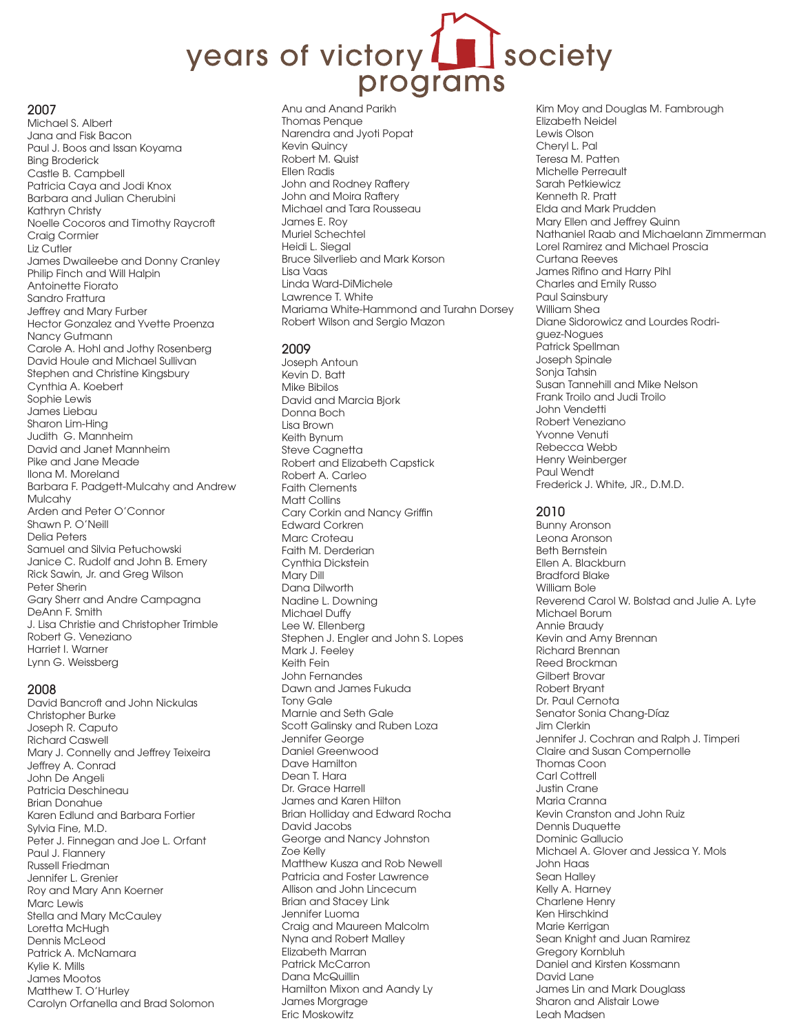# years of victory Inferior programs

#### 2007

Michael S. Albert Jana and Fisk Bacon Paul J. Boos and Issan Koyama Bing Broderick Castle B. Campbell Patricia Caya and Jodi Knox Barbara and Julian Cherubini Kathryn Christy Noelle Cocoros and Timothy Raycroft Craig Cormier Liz Cutler James Dwaileebe and Donny Cranley Philip Finch and Will Halpin Antoinette Fiorato Sandro Frattura Jeffrey and Mary Furber Hector Gonzalez and Yvette Proenza Nancy Gutmann Carole A. Hohl and Jothy Rosenberg David Houle and Michael Sullivan Stephen and Christine Kingsbury Cynthia A. Koebert Sophie Lewis James Liebau Sharon Lim-Hing Judith G. Mannheim David and Janet Mannheim Pike and Jane Meade Ilona M. Moreland Barbara F. Padgett-Mulcahy and Andrew Mulcahy Arden and Peter O'Connor Shawn P. O'Neill Delia Peters Samuel and Silvia Petuchowski Janice C. Rudolf and John B. Emery Rick Sawin, Jr. and Greg Wilson Peter Sherin Gary Sherr and Andre Campagna DeAnn F. Smith J. Lisa Christie and Christopher Trimble Robert G. Veneziano Harriet I. Warner Lynn G. Weissberg

#### 2008

David Bancroft and John Nickulas Christopher Burke Joseph R. Caputo Richard Caswell Mary J. Connelly and Jeffrey Teixeira Jeffrey A. Conrad John De Angeli Patricia Deschineau Brian Donahue Karen Edlund and Barbara Fortier Sylvia Fine, M.D. Peter J. Finnegan and Joe L. Orfant Paul J. Flannery Russell Friedman Jennifer L. Grenier Roy and Mary Ann Koerner Marc Lewis Stella and Mary McCauley Loretta McHugh Dennis McLeod Patrick A. McNamara Kylie K. Mills James Mootos Matthew T. O'Hurley Carolyn Orfanella and Brad Solomon Anu and Anand Parikh Thomas Penque Narendra and Jyoti Popat Kevin Quincy Robert M. Quist Ellen Radis John and Rodney Raftery John and Moira Raftery Michael and Tara Rousseau James E. Roy Muriel Schechtel Heidi L. Siegal Bruce Silverlieb and Mark Korson Lisa Vaas Linda Ward-DiMichele Lawrence T. White Mariama White-Hammond and Turahn Dorsey Robert Wilson and Sergio Mazon

#### 2009

Joseph Antoun Kevin D. Batt Mike Bibilos David and Marcia Bjork Donna Boch Lisa Brown Keith Bynum Steve Cagnetta Robert and Elizabeth Capstick Robert A. Carleo Faith Clements Matt Collins Cary Corkin and Nancy Griffin Edward Corkren Marc Croteau Faith M. Derderian Cynthia Dickstein Mary Dill Dana Dilworth Nadine L. Downing Michael Duffy Lee W. Ellenberg Stephen J. Engler and John S. Lopes Mark J. Feeley Keith Fein John Fernandes Dawn and James Fukuda Tony Gale Marnie and Seth Gale Scott Galinsky and Ruben Loza Jennifer George Daniel Greenwood Dave Hamilton Dean T. Hara Dr. Grace Harrell James and Karen Hilton Brian Holliday and Edward Rocha David Jacobs George and Nancy Johnston Zoe Kelly Matthew Kusza and Rob Newell Patricia and Foster Lawrence Allison and John Lincecum Brian and Stacey Link Jennifer Luoma Craig and Maureen Malcolm Nyna and Robert Malley Elizabeth Marran Patrick McCarron Dana McQuillin Hamilton Mixon and Aandy Ly James Morgrage Eric Moskowitz

Kim Moy and Douglas M. Fambrough Elizabeth Neidel Lewis Olson Cheryl L. Pal Teresa M. Patten Michelle Perreault Sarah Petkiewicz Kenneth R. Pratt Elda and Mark Prudden Mary Ellen and Jeffrey Quinn Nathaniel Raab and Michaelann Zimmerman Lorel Ramirez and Michael Proscia Curtana Reeves James Rifino and Harry Pihl Charles and Emily Russo Paul Sainsbury William Shea Diane Sidorowicz and Lourdes Rodriguez-Nogues Patrick Spellman Joseph Spinale Sonja Tahsin Susan Tannehill and Mike Nelson Frank Troilo and Judi Troilo John Vendetti Robert Veneziano Yvonne Venuti Rebecca Webb Henry Weinberger Paul Wendt Frederick J. White, JR., D.M.D.

# 2010

Bunny Aronson Leona Aronson Beth Bernstein Ellen A. Blackburn Bradford Blake William Bole Reverend Carol W. Bolstad and Julie A. Lyte Michael Borum Annie Braudy Kevin and Amy Brennan Richard Brennan Reed Brockman Gilbert Brovar Robert Bryant Dr. Paul Cernota Senator Sonia Chang-Díaz Jim Clerkin Jennifer J. Cochran and Ralph J. Timperi Claire and Susan Compernolle Thomas Coon Carl Cottrell Justin Crane Maria Cranna Kevin Cranston and John Ruiz Dennis Duquette Dominic Gallucio Michael A. Glover and Jessica Y. Mols John Haas Sean Halley Kelly A. Harney Charlene Henry Ken Hirschkind Marie Kerrigan Sean Knight and Juan Ramirez Gregory Kornbluh Daniel and Kirsten Kossmann David Lane James Lin and Mark Douglass Sharon and Alistair Lowe Leah Madsen